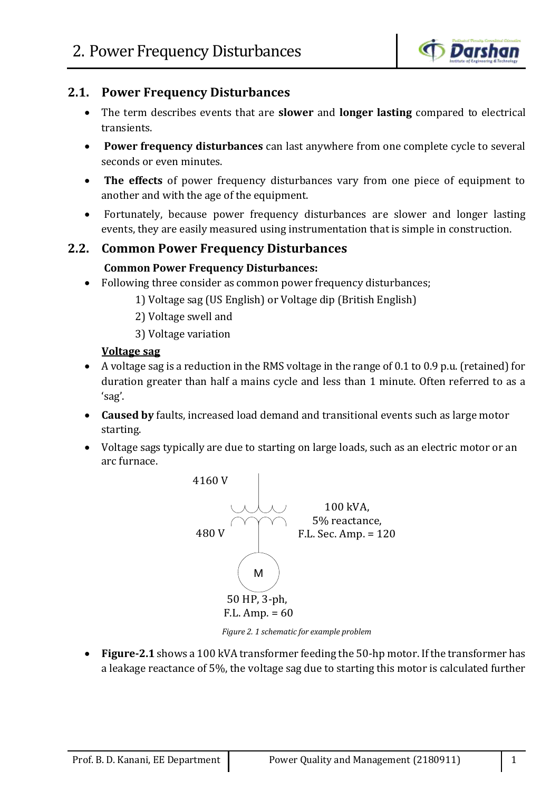

# **2.1. Power Frequency Disturbances**

- The term describes events that are **slower** and **longer lasting** compared to electrical transients.
- **Power frequency disturbances** can last anywhere from one complete cycle to several seconds or even minutes.
- **The effects** of power frequency disturbances vary from one piece of equipment to another and with the age of the equipment.
- Fortunately, because power frequency disturbances are slower and longer lasting events, they are easily measured using instrumentation that is simple in construction.

# **2.2. Common Power Frequency Disturbances**

# **Common Power Frequency Disturbances:**

• Following three consider as common power frequency disturbances;

1) Voltage sag (US English) or Voltage dip (British English)

- 2) Voltage swell and
- 3) Voltage variation

## **Voltage sag**

- A voltage sag is a reduction in the RMS voltage in the range of 0.1 to 0.9 p.u. (retained) for duration greater than half a mains cycle and less than 1 minute. Often referred to as a 'sag'.
- **Caused by** faults, increased load demand and transitional events such as large motor starting.
- Voltage sags typically are due to starting on large loads, such as an electric motor or an arc furnace.



*Figure 2. 1 schematic for example problem*

 **Figure-2.1** shows a 100 kVA transformer feeding the 50-hp motor. If the transformer has a leakage reactance of 5%, the voltage sag due to starting this motor is calculated further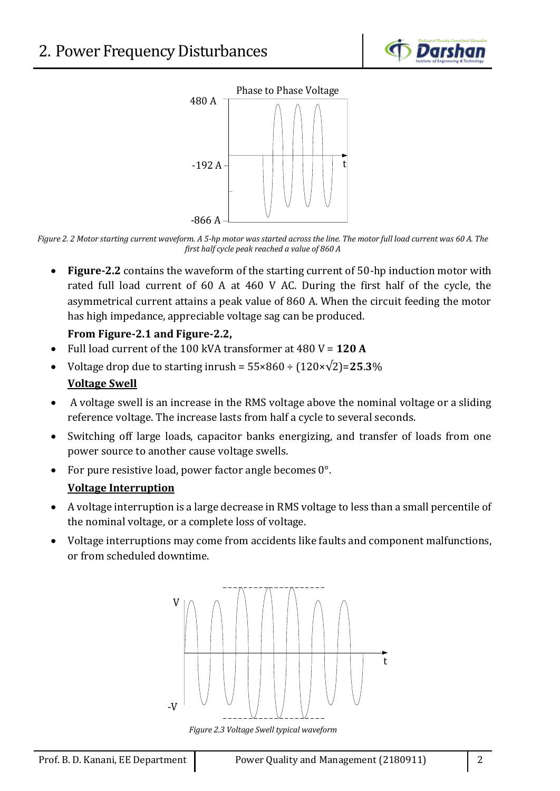



*Figure 2. 2 Motor starting current waveform. A 5-hp motor was started across the line. The motor full load current was 60 A. The first half cycle peak reached a value of 860 A*

 **Figure-2.2** contains the waveform of the starting current of 50-hp induction motor with rated full load current of 60 A at 460 V AC. During the first half of the cycle, the asymmetrical current attains a peak value of 860 A. When the circuit feeding the motor has high impedance, appreciable voltage sag can be produced.

## **From Figure-2.1 and Figure-2.2,**

- Full load current of the 100 kVA transformer at 480 V = **120 A**
- Voltage drop due to starting inrush =  $55 \times 860 \div (120 \times \sqrt{2}) = 25.3\%$ **Voltage Swell**
- A voltage swell is an increase in the RMS voltage above the nominal voltage or a sliding reference voltage. The increase lasts from half a cycle to several seconds.
- Switching off large loads, capacitor banks energizing, and transfer of loads from one power source to another cause voltage swells.
- For pure resistive load, power factor angle becomes 0°.

# **Voltage Interruption**

- A voltage interruption is a large decrease in RMS voltage to less than a small percentile of the nominal voltage, or a complete loss of voltage.
- Voltage interruptions may come from accidents like faults and component malfunctions, or from scheduled downtime.



*Figure 2.3 Voltage Swell typical waveform*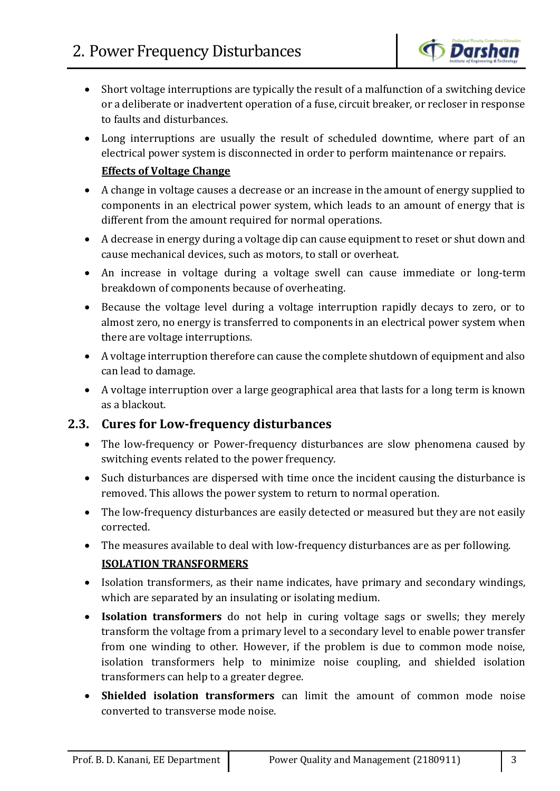

- Short voltage interruptions are typically the result of a malfunction of a switching device or a deliberate or inadvertent operation of a fuse, circuit breaker, or recloser in response to faults and disturbances.
- Long interruptions are usually the result of scheduled downtime, where part of an electrical power system is disconnected in order to perform maintenance or repairs.

### **Effects of Voltage Change**

- A change in voltage causes a decrease or an increase in the amount of energy supplied to components in an electrical power system, which leads to an amount of energy that is different from the amount required for normal operations.
- A decrease in energy during a voltage dip can cause equipment to reset or shut down and cause mechanical devices, such as motors, to stall or overheat.
- An increase in voltage during a voltage swell can cause immediate or long-term breakdown of components because of overheating.
- Because the voltage level during a voltage interruption rapidly decays to zero, or to almost zero, no energy is transferred to components in an electrical power system when there are voltage interruptions.
- A voltage interruption therefore can cause the complete shutdown of equipment and also can lead to damage.
- A voltage interruption over a large geographical area that lasts for a long term is known as a blackout.

# **2.3. Cures for Low-frequency disturbances**

- The low-frequency or Power-frequency disturbances are slow phenomena caused by switching events related to the power frequency.
- Such disturbances are dispersed with time once the incident causing the disturbance is removed. This allows the power system to return to normal operation.
- The low-frequency disturbances are easily detected or measured but they are not easily corrected.
- The measures available to deal with low-frequency disturbances are as per following.

# **ISOLATION TRANSFORMERS**

- Isolation transformers, as their name indicates, have primary and secondary windings, which are separated by an insulating or isolating medium.
- **Isolation transformers** do not help in curing voltage sags or swells; they merely transform the voltage from a primary level to a secondary level to enable power transfer from one winding to other. However, if the problem is due to common mode noise, isolation transformers help to minimize noise coupling, and shielded isolation transformers can help to a greater degree.
- **Shielded isolation transformers** can limit the amount of common mode noise converted to transverse mode noise.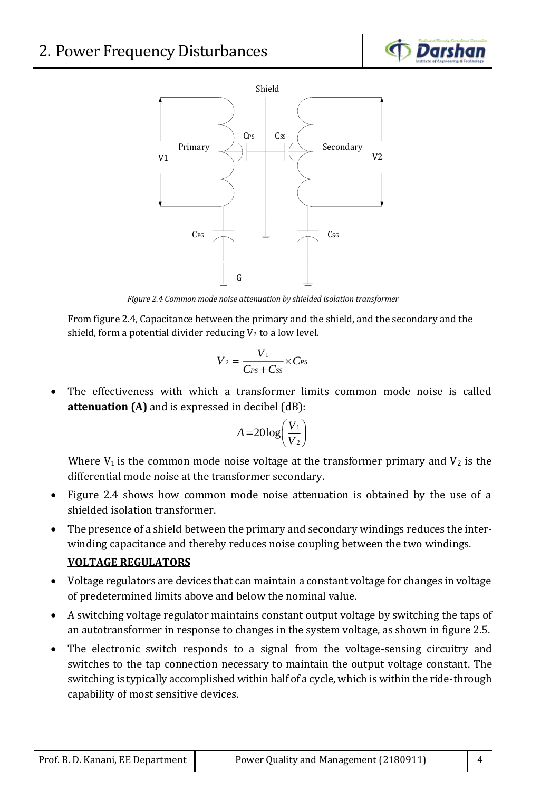



*Figure 2.4 Common mode noise attenuation by shielded isolation transformer*

From figure 2.4, Capacitance between the primary and the shield, and the secondary and the shield, form a potential divider reducing  $V_2$  to a low level.

$$
V_2 = \frac{V_1}{C_{PS} + C_{SS}} \times C_{PS}
$$

 The effectiveness with which a transformer limits common mode noise is called **attenuation (A)** and is expressed in decibel (dB):

$$
A = 20 \log \left( \frac{V_1}{V_2} \right)
$$

Where  $V_1$  is the common mode noise voltage at the transformer primary and  $V_2$  is the differential mode noise at the transformer secondary.

- Figure 2.4 shows how common mode noise attenuation is obtained by the use of a shielded isolation transformer.
- The presence of a shield between the primary and secondary windings reduces the interwinding capacitance and thereby reduces noise coupling between the two windings.

### **VOLTAGE REGULATORS**

- Voltage regulators are devices that can maintain a constant voltage for changes in voltage of predetermined limits above and below the nominal value.
- A switching voltage regulator maintains constant output voltage by switching the taps of an autotransformer in response to changes in the system voltage, as shown in figure 2.5.
- The electronic switch responds to a signal from the voltage-sensing circuitry and switches to the tap connection necessary to maintain the output voltage constant. The switching is typically accomplished within half of a cycle, which is within the ride-through capability of most sensitive devices.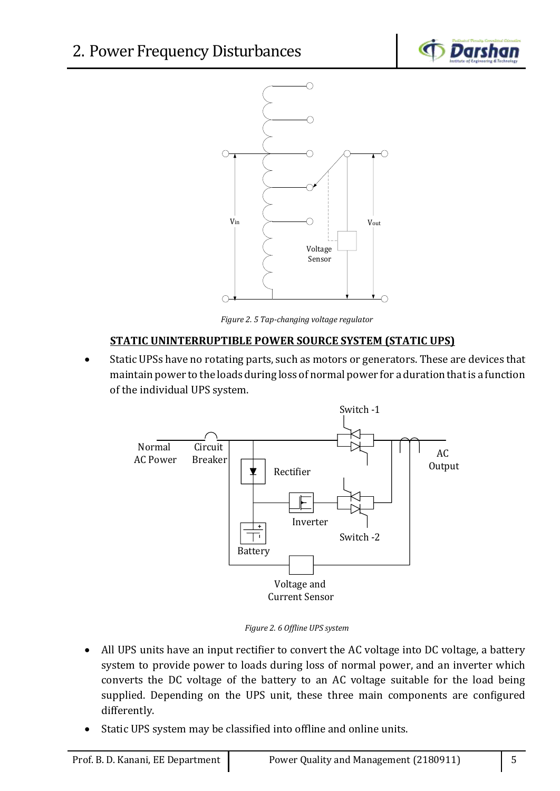



*Figure 2. 5 Tap-changing voltage regulator*

#### **STATIC UNINTERRUPTIBLE POWER SOURCE SYSTEM (STATIC UPS)**

 Static UPSs have no rotating parts, such as motors or generators. These are devices that maintain power to the loads during loss of normal power for a duration that is a function of the individual UPS system.



*Figure 2. 6 Offline UPS system*

- All UPS units have an input rectifier to convert the AC voltage into DC voltage, a battery system to provide power to loads during loss of normal power, and an inverter which converts the DC voltage of the battery to an AC voltage suitable for the load being supplied. Depending on the UPS unit, these three main components are configured differently.
- Static UPS system may be classified into offline and online units.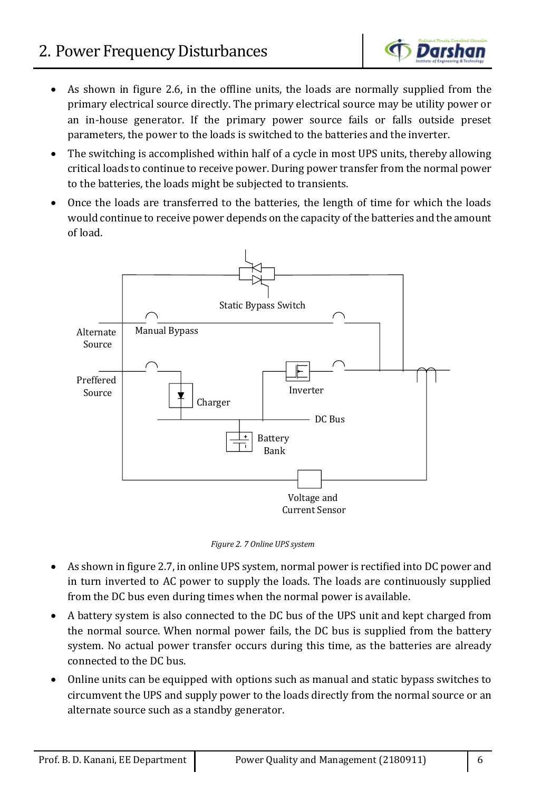

- As shown in figure 2.6, in the offline units, the loads are normally supplied from the primary electrical source directly. The primary electrical source may be utility power or an in-house generator. If the primary power source fails or falls outside preset parameters, the power to the loads is switched to the batteries and the inverter.
- The switching is accomplished within half of a cycle in most UPS units, thereby allowing critical loads to continue to receive power. During power transfer from the normal power to the batteries, the loads might be subjected to transients.
- Once the loads are transferred to the batteries, the length of time for which the loads would continue to receive power depends on the capacity of the batteries and the amount of load.



*Figure 2. 7 Online UPS system*

- As shown in figure 2.7, in online UPS system, normal power is rectified into DC power and in turn inverted to AC power to supply the loads. The loads are continuously supplied from the DC bus even during times when the normal power is available.
- A battery system is also connected to the DC bus of the UPS unit and kept charged from the normal source. When normal power fails, the DC bus is supplied from the battery system. No actual power transfer occurs during this time, as the batteries are already connected to the DC bus.
- Online units can be equipped with options such as manual and static bypass switches to circumvent the UPS and supply power to the loads directly from the normal source or an alternate source such as a standby generator.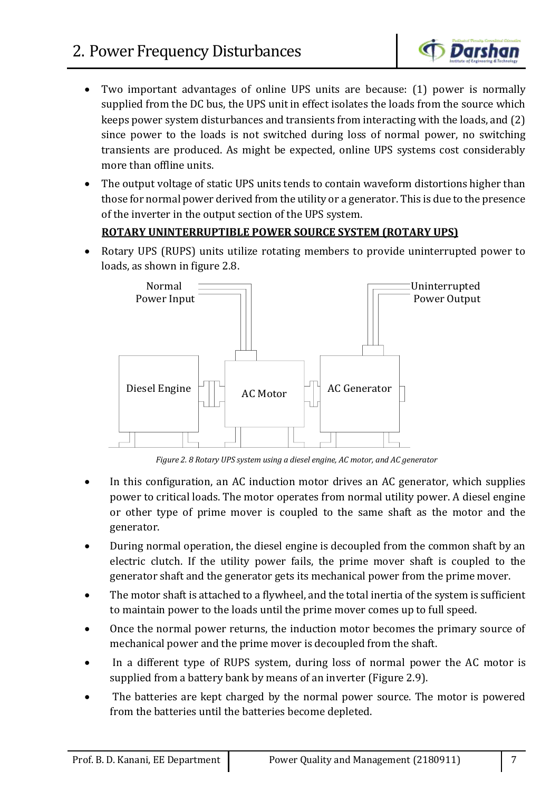# 2. Power Frequency Disturbances



- Two important advantages of online UPS units are because: (1) power is normally supplied from the DC bus, the UPS unit in effect isolates the loads from the source which keeps power system disturbances and transients from interacting with the loads, and (2) since power to the loads is not switched during loss of normal power, no switching transients are produced. As might be expected, online UPS systems cost considerably more than offline units.
- The output voltage of static UPS units tends to contain waveform distortions higher than those for normal power derived from the utility or a generator. This is due to the presence of the inverter in the output section of the UPS system.

#### **ROTARY UNINTERRUPTIBLE POWER SOURCE SYSTEM (ROTARY UPS)**

 Rotary UPS (RUPS) units utilize rotating members to provide uninterrupted power to loads, as shown in figure 2.8.



*Figure 2. 8 Rotary UPS system using a diesel engine, AC motor, and AC generator*

- In this configuration, an AC induction motor drives an AC generator, which supplies power to critical loads. The motor operates from normal utility power. A diesel engine or other type of prime mover is coupled to the same shaft as the motor and the generator.
- During normal operation, the diesel engine is decoupled from the common shaft by an electric clutch. If the utility power fails, the prime mover shaft is coupled to the generator shaft and the generator gets its mechanical power from the prime mover.
- The motor shaft is attached to a flywheel, and the total inertia of the system is sufficient to maintain power to the loads until the prime mover comes up to full speed.
- Once the normal power returns, the induction motor becomes the primary source of mechanical power and the prime mover is decoupled from the shaft.
- In a different type of RUPS system, during loss of normal power the AC motor is supplied from a battery bank by means of an inverter (Figure 2.9).
- The batteries are kept charged by the normal power source. The motor is powered from the batteries until the batteries become depleted.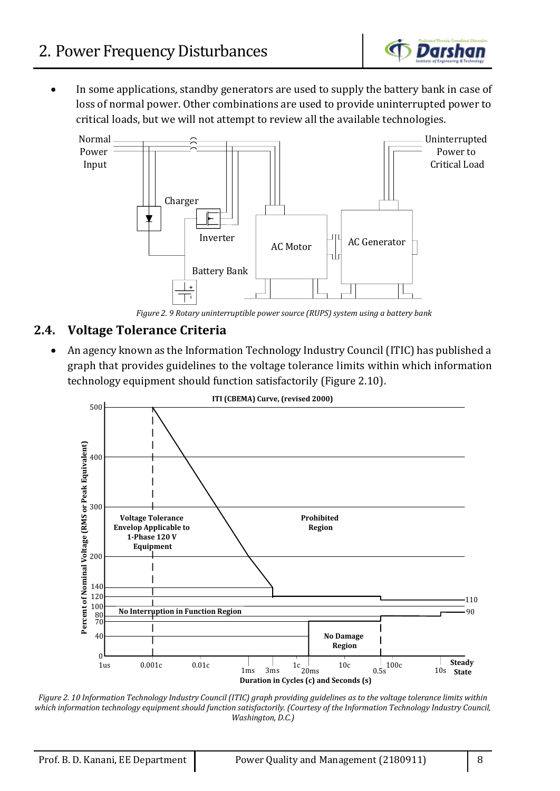

 In some applications, standby generators are used to supply the battery bank in case of loss of normal power. Other combinations are used to provide uninterrupted power to critical loads, but we will not attempt to review all the available technologies.



*Figure 2. 9 Rotary uninterruptible power source (RUPS) system using a battery bank*

# **2.4. Voltage Tolerance Criteria**

 An agency known as the Information Technology Industry Council (ITIC) has published a graph that provides guidelines to the voltage tolerance limits within which information technology equipment should function satisfactorily (Figure 2.10).



*Figure 2. 10 Information Technology Industry Council (ITIC) graph providing guidelines as to the voltage tolerance limits within which information technology equipment should function satisfactorily. (Courtesy of the Information Technology Industry Council, Washington, D.C.)*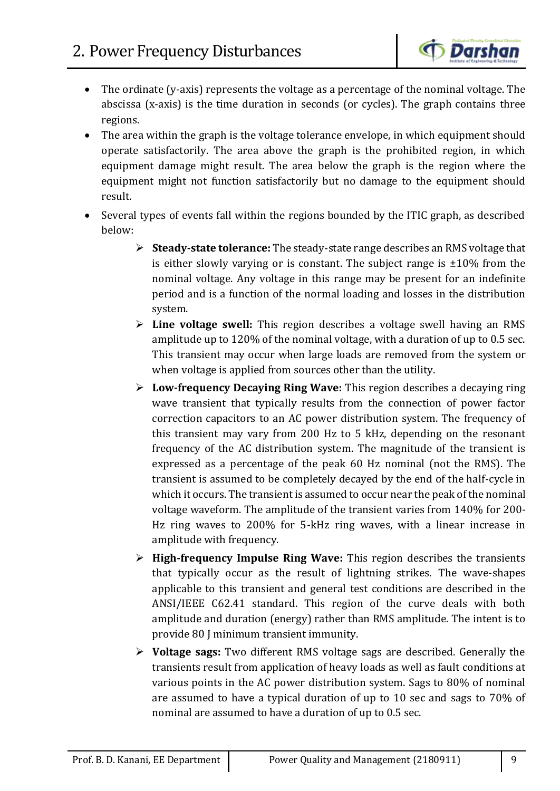

- The ordinate (y-axis) represents the voltage as a percentage of the nominal voltage. The abscissa (x-axis) is the time duration in seconds (or cycles). The graph contains three regions.
- The area within the graph is the voltage tolerance envelope, in which equipment should operate satisfactorily. The area above the graph is the prohibited region, in which equipment damage might result. The area below the graph is the region where the equipment might not function satisfactorily but no damage to the equipment should result.
- Several types of events fall within the regions bounded by the ITIC graph, as described below:
	- **Steady-state tolerance:** The steady-state range describes an RMS voltage that is either slowly varying or is constant. The subject range is  $\pm 10\%$  from the nominal voltage. Any voltage in this range may be present for an indefinite period and is a function of the normal loading and losses in the distribution system.
	- **Line voltage swell:** This region describes a voltage swell having an RMS amplitude up to 120% of the nominal voltage, with a duration of up to 0.5 sec. This transient may occur when large loads are removed from the system or when voltage is applied from sources other than the utility.
	- **Low-frequency Decaying Ring Wave:** This region describes a decaying ring wave transient that typically results from the connection of power factor correction capacitors to an AC power distribution system. The frequency of this transient may vary from 200 Hz to 5 kHz, depending on the resonant frequency of the AC distribution system. The magnitude of the transient is expressed as a percentage of the peak 60 Hz nominal (not the RMS). The transient is assumed to be completely decayed by the end of the half-cycle in which it occurs. The transient is assumed to occur near the peak of the nominal voltage waveform. The amplitude of the transient varies from 140% for 200- Hz ring waves to 200% for 5-kHz ring waves, with a linear increase in amplitude with frequency.
	- **High-frequency Impulse Ring Wave:** This region describes the transients that typically occur as the result of lightning strikes. The wave-shapes applicable to this transient and general test conditions are described in the ANSI/IEEE C62.41 standard. This region of the curve deals with both amplitude and duration (energy) rather than RMS amplitude. The intent is to provide 80 J minimum transient immunity.
	- **Voltage sags:** Two different RMS voltage sags are described. Generally the transients result from application of heavy loads as well as fault conditions at various points in the AC power distribution system. Sags to 80% of nominal are assumed to have a typical duration of up to 10 sec and sags to 70% of nominal are assumed to have a duration of up to 0.5 sec.